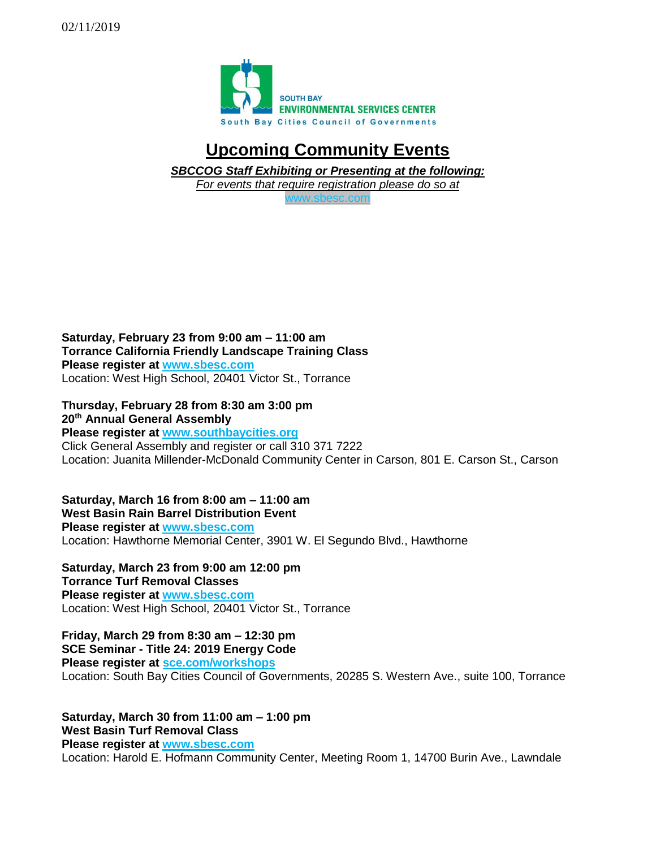

## **Upcoming Community Events**

*SBCCOG Staff Exhibiting or Presenting at the following:*

*For events that require registration please do so at* 

[www.sbesc.com](http://www.sbesc.com/)

**Saturday, February 23 from 9:00 am – 11:00 am Torrance California Friendly Landscape Training Class Please register at [www.sbesc.com](http://www.sbesc.com/)** Location: West High School, 20401 Victor St., Torrance

**Thursday, February 28 from 8:30 am 3:00 pm 20th Annual General Assembly Please register at [www.southbaycities.org](http://www.sbesc.com/)** Click General Assembly and register or call 310 371 7222 Location: Juanita Millender-McDonald Community Center in Carson, 801 E. Carson St., Carson

**Saturday, March 16 from 8:00 am – 11:00 am West Basin Rain Barrel Distribution Event Please register at [www.sbesc.com](http://www.sbesc.com/)** Location: Hawthorne Memorial Center, 3901 W. El Segundo Blvd., Hawthorne

**Saturday, March 23 from 9:00 am 12:00 pm Torrance Turf Removal Classes Please register at [www.sbesc.com](http://www.sbesc.com/)** Location: West High School, 20401 Victor St., Torrance

**Friday, March 29 from 8:30 am – 12:30 pm SCE Seminar - Title 24: 2019 Energy Code Please register at [sce.com/workshops](http://www.sbesc.com/)**

Location: South Bay Cities Council of Governments, 20285 S. Western Ave., suite 100, Torrance

**Saturday, March 30 from 11:00 am – 1:00 pm West Basin Turf Removal Class Please register at [www.sbesc.com](http://www.sbesc.com/)** Location: Harold E. Hofmann Community Center, Meeting Room 1, 14700 Burin Ave., Lawndale